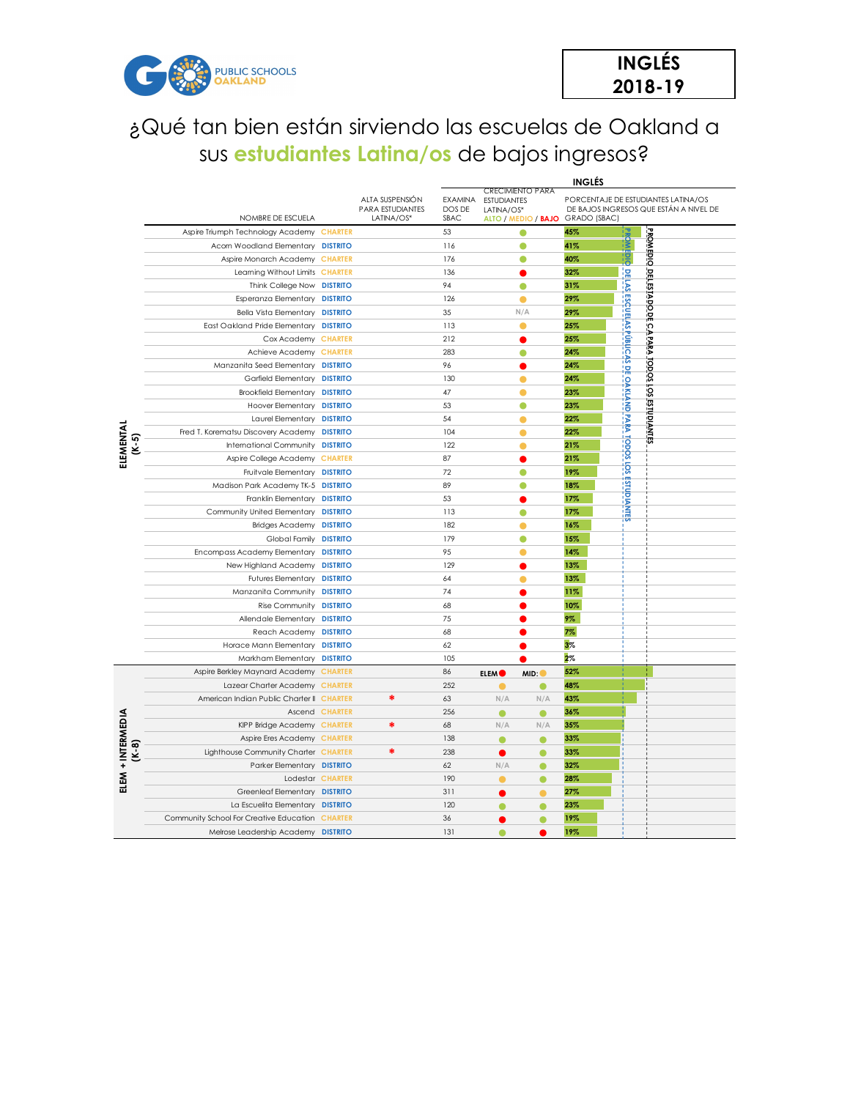

# ¿Qué tan bien están sirviendo las escuelas de Oakland a sus **estudiantes Latina/os** de bajos ingresos?

|                              |                                           |                 |                                                   | <b>INGLÉS</b>             |                                                                                                        |       |                                                                               |  |  |  |
|------------------------------|-------------------------------------------|-----------------|---------------------------------------------------|---------------------------|--------------------------------------------------------------------------------------------------------|-------|-------------------------------------------------------------------------------|--|--|--|
|                              | NOMBRE DE ESCUELA                         |                 | ALTA SUSPENSIÓN<br>PARA ESTUDIANTES<br>LATINA/OS* | EXAMINA<br>DOS DE<br>SBAC | <b><i>CRECIMIENTO PARA</i></b><br><b>ESTUDIANTES</b><br>LATINA/OS*<br>ALTO / MEDIO / BAJO GRADO (SBAC) |       | PORCENTAJE DE ESTUDIANTES LATINA/OS<br>DE BAJOS INGRESOS QUE ESTÁN A NIVEL DE |  |  |  |
|                              | Aspire Triumph Technology Academy CHARTER |                 |                                                   | 53                        | $\bullet$                                                                                              | 45%   |                                                                               |  |  |  |
|                              | Acorn Woodland Elementary                 | <b>DISTRITO</b> |                                                   | 116                       | $\bullet$                                                                                              | 41%   | <b>PROMEDIO</b>                                                               |  |  |  |
|                              | Aspire Monarch Academy                    | <b>CHARTER</b>  |                                                   | 176                       | $\bullet$                                                                                              | 40%   |                                                                               |  |  |  |
|                              | Learning Without Limits                   | <b>CHARTER</b>  |                                                   | 136                       |                                                                                                        | 32%   | ē                                                                             |  |  |  |
|                              | Think College Now DISTRITO                |                 |                                                   | 94                        | $\bullet$                                                                                              | 31%   | <b>DELESTADOOE</b><br>몸<br>İΣ                                                 |  |  |  |
|                              | Esperanza Elementary                      | <b>DISTRITO</b> |                                                   | 126                       | 0                                                                                                      | 29%   |                                                                               |  |  |  |
|                              | Bella Vista Elementary                    | <b>DISTRITO</b> |                                                   | 35                        | N/A                                                                                                    | 29%   |                                                                               |  |  |  |
|                              | East Oakland Pride Elementary DISTRITO    |                 |                                                   | 113                       | 0                                                                                                      | 25%   | ESQUELAS                                                                      |  |  |  |
|                              | Cox Academy                               | <b>CHARTER</b>  |                                                   | 212                       | т                                                                                                      | 25%   | <b>CAPARA</b>                                                                 |  |  |  |
|                              | Achieve Academy                           | <b>CHARTER</b>  |                                                   | 283                       | ●                                                                                                      | 24%   |                                                                               |  |  |  |
|                              | Manzanita Seed Elementary DISTRITO        |                 |                                                   | 96                        |                                                                                                        | 24%   |                                                                               |  |  |  |
|                              | Garfield Elementary DISTRITO              |                 |                                                   | 130                       | Ο                                                                                                      | 24%   | <b>Popes</b>                                                                  |  |  |  |
|                              | <b>Brookfield Elementary DISTRITO</b>     |                 |                                                   | 47                        | ο                                                                                                      | 23%   | <b>PÚBLICAS DE OAKLAND PARA</b>                                               |  |  |  |
|                              | Hoover Elementary DISTRITO                |                 |                                                   | 53                        | 0                                                                                                      | 23%   |                                                                               |  |  |  |
|                              | Laurel Elementary DISTRITO                |                 |                                                   | 54                        | 0                                                                                                      | 22%   | <b>LositssilpplAntES</b>                                                      |  |  |  |
|                              | Fred T. Korematsu Discovery Academy       | <b>DISTRITO</b> |                                                   | 104                       | $\bullet$                                                                                              | 22%   |                                                                               |  |  |  |
| ELEMENTAL<br>$(K-5)$         | International Community                   | <b>DISTRITO</b> |                                                   | 122                       | $\bullet$                                                                                              | 21%   |                                                                               |  |  |  |
|                              | Aspire College Academy                    | <b>CHARTER</b>  |                                                   | 87                        |                                                                                                        | 21%   | Topps                                                                         |  |  |  |
|                              | Fruitvale Elementary DISTRITO             |                 |                                                   | 72                        | $\bullet$                                                                                              | 19%   | <u>Sol</u>                                                                    |  |  |  |
|                              | Madison Park Academy TK-5 DISTRITO        |                 |                                                   | 89                        | 0                                                                                                      | 18%   |                                                                               |  |  |  |
|                              | Franklin Elementary DISTRITO              |                 |                                                   | 53                        |                                                                                                        | 17%   | <b>ESTUDIANTES</b>                                                            |  |  |  |
|                              | Community United Elementary               | <b>DISTRITO</b> |                                                   | 113                       | 0                                                                                                      | 17%   |                                                                               |  |  |  |
|                              | <b>Bridges Academy</b>                    | <b>DISTRITO</b> |                                                   | 182                       | $\bullet$                                                                                              | 16%   |                                                                               |  |  |  |
|                              | Global Family                             | <b>DISTRITO</b> |                                                   | 179                       | $\bullet$                                                                                              | 15%   |                                                                               |  |  |  |
|                              | Encompass Academy Elementary              | <b>DISTRITO</b> |                                                   | 95                        | $\bullet$                                                                                              | 14%   |                                                                               |  |  |  |
|                              | New Highland Academy                      | <b>DISTRITO</b> |                                                   | 129                       | т                                                                                                      | 13%   |                                                                               |  |  |  |
|                              | <b>Futures Elementary</b>                 | <b>DISTRITO</b> |                                                   | 64                        | Ο                                                                                                      | 13%   |                                                                               |  |  |  |
|                              | Manzanita Community                       | <b>DISTRITO</b> |                                                   | 74                        | п                                                                                                      | 11%   |                                                                               |  |  |  |
|                              | Rise Community                            | <b>DISTRITO</b> |                                                   | 68                        |                                                                                                        | 10%   |                                                                               |  |  |  |
|                              | Allendale Elementary                      | <b>DISTRITO</b> |                                                   | 75                        |                                                                                                        | 9%    |                                                                               |  |  |  |
|                              | Reach Academy                             | <b>DISTRITO</b> |                                                   | 68                        |                                                                                                        | 7%    |                                                                               |  |  |  |
|                              | Horace Mann Elementary DISTRITO           |                 |                                                   | 62                        |                                                                                                        | $3\%$ |                                                                               |  |  |  |
|                              | Markham Elementary                        | <b>DISTRITO</b> |                                                   | 105                       |                                                                                                        | 2%    |                                                                               |  |  |  |
|                              | Aspire Berkley Maynard Academy            | <b>CHARTER</b>  |                                                   | 86                        | <b>ELEM</b><br>MID: O                                                                                  | 52%   |                                                                               |  |  |  |
|                              | Lazear Charter Academy                    | <b>CHARTER</b>  |                                                   | 252                       | $\bullet$                                                                                              | 48%   |                                                                               |  |  |  |
|                              | American Indian Public Charter II         | <b>CHARTER</b>  | ∗                                                 | 63                        | N/A<br>N/A                                                                                             | 43%   |                                                                               |  |  |  |
|                              |                                           | Ascend CHARTER  |                                                   | 256                       | $\bullet$<br>●                                                                                         | 36%   |                                                                               |  |  |  |
|                              | KIPP Bridge Academy                       | <b>CHARTER</b>  | *                                                 | 68                        | N/A<br>N/A                                                                                             | 35%   |                                                                               |  |  |  |
| ELEM + INTERMEDIA<br>$(K-8)$ | Aspire Eres Academy                       | <b>CHARTER</b>  |                                                   | 138                       | 0<br>$\bullet$                                                                                         | 33%   |                                                                               |  |  |  |
|                              | Lighthouse Community Charter CHARTER      |                 | ₩                                                 | 238                       | ●                                                                                                      | 33%   |                                                                               |  |  |  |
|                              | Parker Elementary DISTRITO                |                 |                                                   | 62                        | N/A<br>0                                                                                               | 32%   |                                                                               |  |  |  |
|                              | Lodestar CHARTER                          |                 |                                                   | 190                       | $\bullet$<br>0                                                                                         | 28%   |                                                                               |  |  |  |
|                              | Greenleaf Elementary DISTRITO             |                 |                                                   | 311                       | o                                                                                                      | 27%   |                                                                               |  |  |  |
|                              | La Escuelita Elementary DISTRITO          |                 |                                                   | 120                       | $\bullet$<br>O                                                                                         | 23%   |                                                                               |  |  |  |
|                              | Community School For Creative Education   | <b>CHARTER</b>  |                                                   | 36                        | ●                                                                                                      | 19%   |                                                                               |  |  |  |
|                              | Melrose Leadership Academy DISTRITO       |                 |                                                   | 131                       | c                                                                                                      | 19%   |                                                                               |  |  |  |
|                              |                                           |                 |                                                   |                           |                                                                                                        |       |                                                                               |  |  |  |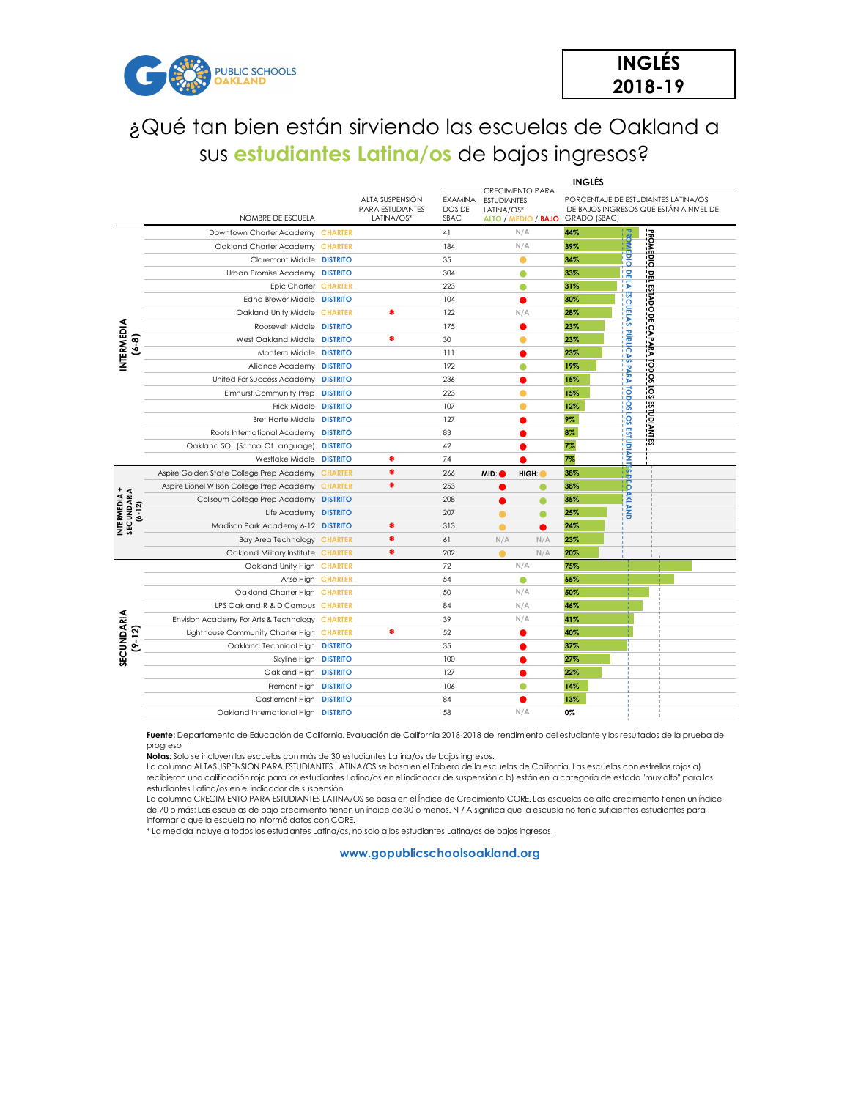

#### ¿Qué tan bien están sirviendo las escuelas de Oakland a sus **estudiantes Latina/os** de bajos ingresos?

|                                             |                                                   |                 |                                                   |                                  |                                  |                                                             | <b>INGLÉS</b>                                                                 |                                                              |                                                            |  |  |
|---------------------------------------------|---------------------------------------------------|-----------------|---------------------------------------------------|----------------------------------|----------------------------------|-------------------------------------------------------------|-------------------------------------------------------------------------------|--------------------------------------------------------------|------------------------------------------------------------|--|--|
|                                             | NOMBRE DE ESCUELA                                 |                 | ALTA SUSPENSIÓN<br>PARA ESTUDIANTES<br>LATINA/OS* | EXAMINA<br>DOS DE<br><b>SBAC</b> | <b>ESTUDIANTES</b><br>LATINA/OS* | <b>CRECIMIENTO PARA</b><br>ALTO / MEDIO / BAJO GRADO (SBAC) | PORCENTAJE DE ESTUDIANTES LATINA/OS<br>DE BAJOS INGRESOS QUE ESTÁN A NIVEL DE |                                                              |                                                            |  |  |
|                                             | Downtown Charter Academy CHARTER                  |                 |                                                   | 41                               |                                  | N/A                                                         | 44%                                                                           |                                                              |                                                            |  |  |
|                                             | Oakland Charter Academy CHARTER                   |                 |                                                   | 184                              |                                  | N/A                                                         | 39%                                                                           |                                                              |                                                            |  |  |
|                                             | Claremont Middle DISTRITO                         |                 |                                                   | 35                               |                                  | $\bullet$                                                   | 34%                                                                           |                                                              |                                                            |  |  |
|                                             | Urban Promise Academy DISTRITO                    |                 |                                                   | 304                              |                                  | $\bullet$                                                   | 33%                                                                           |                                                              |                                                            |  |  |
|                                             | <b>Epic Charter CHARTER</b>                       |                 |                                                   | 223                              |                                  | $\bullet$                                                   | 31%                                                                           |                                                              |                                                            |  |  |
|                                             | Edna Brewer Middle DISTRITO                       |                 |                                                   | 104                              |                                  | О                                                           | 30%                                                                           |                                                              |                                                            |  |  |
|                                             | Oakland Unity Middle CHARTER                      |                 | *                                                 | 122                              |                                  | N/A                                                         | 28%                                                                           |                                                              |                                                            |  |  |
|                                             | Roosevelt Middle DISTRITO                         |                 |                                                   | 175                              |                                  |                                                             | 23%                                                                           |                                                              |                                                            |  |  |
| $(6-8)$                                     | West Oakland Middle <b>DISTRITO</b>               |                 | ₩                                                 | 30                               |                                  | ●                                                           | 23%                                                                           |                                                              |                                                            |  |  |
| <b>INTERMEDIA</b>                           | Montera Middle <b>DISTRITO</b>                    |                 |                                                   | 111                              |                                  |                                                             | 23%                                                                           |                                                              |                                                            |  |  |
|                                             | Alliance Academy                                  | <b>DISTRITO</b> |                                                   | 192                              |                                  | ٠                                                           | 19%                                                                           |                                                              |                                                            |  |  |
|                                             | United For Success Academy DISTRITO               |                 |                                                   | 236                              |                                  |                                                             | 15%                                                                           |                                                              |                                                            |  |  |
|                                             | Elmhurst Community Prep                           | <b>DISTRITO</b> |                                                   | 223                              |                                  | Ο                                                           | 15%                                                                           |                                                              |                                                            |  |  |
|                                             | Frick Middle DISTRITO                             |                 |                                                   | 107                              |                                  |                                                             | 12%                                                                           |                                                              |                                                            |  |  |
|                                             | <b>Bret Harte Middle DISTRITO</b>                 |                 |                                                   | 127                              |                                  |                                                             | 9%                                                                            |                                                              | <b>PROMEDIQ DELESTAQODE CARA POROS LODOS LOS ESTUDAMES</b> |  |  |
|                                             | Roots International Academy DISTRITO              |                 |                                                   | 83                               |                                  |                                                             | 8%                                                                            |                                                              |                                                            |  |  |
|                                             | Oakland SOL (School Of Language)                  | <b>DISTRITO</b> |                                                   | 42                               |                                  |                                                             | 7%                                                                            | <b>MEDIO DELA ESCUELAS PÚBLICAS PARA TODOS LOS ESTUDIANT</b> |                                                            |  |  |
|                                             | Westlake Middle DISTRITO                          |                 | ∗                                                 | 74                               |                                  |                                                             | 7%                                                                            |                                                              |                                                            |  |  |
|                                             | Aspire Golden State College Prep Academy CHARTER  |                 | *                                                 | 266                              | MID: O                           | HIGH:                                                       | 38%                                                                           | š                                                            |                                                            |  |  |
|                                             | Aspire Lionel Wilson College Prep Academy CHARTER |                 | ₩                                                 | 253                              |                                  |                                                             | 38%                                                                           | <b>E OAKLAND</b>                                             |                                                            |  |  |
| <b>INTERMEDIA +</b><br>SECUNDARIA<br>(6-12) | Coliseum College Prep Academy DISTRITO            |                 |                                                   | 208                              |                                  |                                                             | 35%                                                                           |                                                              |                                                            |  |  |
|                                             | Life Academy DISTRITO                             |                 |                                                   | 207                              | $\bullet$                        | O                                                           | 25%                                                                           |                                                              |                                                            |  |  |
|                                             | Madison Park Academy 6-12 DISTRITO                |                 | ₩                                                 | 313                              | $\bullet$                        |                                                             | 24%                                                                           |                                                              |                                                            |  |  |
|                                             | Bay Area Technology CHARTER                       |                 | ₩                                                 | 61                               | N/A                              | N/A                                                         | 23%                                                                           |                                                              |                                                            |  |  |
|                                             | Oakland Military Institute CHARTER                |                 | ₩                                                 | 202                              |                                  | N/A                                                         | 20%                                                                           |                                                              |                                                            |  |  |
|                                             | Oakland Unity High CHARTER                        |                 |                                                   | 72                               |                                  | N/A                                                         | 75%                                                                           |                                                              |                                                            |  |  |
|                                             | Arise High CHARTER                                |                 |                                                   | 54                               |                                  | $\bullet$                                                   | 65%                                                                           |                                                              |                                                            |  |  |
|                                             | Oakland Charter High CHARTER                      |                 |                                                   | 50                               |                                  | N/A                                                         | 50%                                                                           |                                                              |                                                            |  |  |
|                                             | LPS Oakland R & D Campus CHARTER                  |                 |                                                   | 84                               |                                  | N/A                                                         | 46%                                                                           |                                                              |                                                            |  |  |
|                                             | Envision Academy For Arts & Technology CHARTER    |                 |                                                   | 39                               |                                  | N/A                                                         | 41%                                                                           |                                                              |                                                            |  |  |
| <b>SECUNDARIA</b><br>$(9 - 12)$             | Lighthouse Community Charter High                 | <b>CHARTER</b>  | *                                                 | 52                               |                                  |                                                             | 40%                                                                           |                                                              |                                                            |  |  |
|                                             | Oakland Technical High DISTRITO                   |                 |                                                   | 35                               |                                  |                                                             | 37%                                                                           |                                                              |                                                            |  |  |
|                                             | Skyline High                                      | <b>DISTRITO</b> |                                                   | 100                              |                                  |                                                             | 27%                                                                           |                                                              |                                                            |  |  |
|                                             | Oakland High DISTRITO                             |                 |                                                   | 127                              |                                  |                                                             | 22%                                                                           |                                                              |                                                            |  |  |
|                                             | Fremont High DISTRITO                             |                 |                                                   | 106                              |                                  | О                                                           | 14%                                                                           |                                                              |                                                            |  |  |
|                                             | Castlemont High DISTRITO                          |                 |                                                   | 84                               |                                  |                                                             | 13%                                                                           |                                                              |                                                            |  |  |
|                                             | Oakland International High DISTRITO               |                 |                                                   | 58                               |                                  | N/A                                                         | 0%                                                                            |                                                              |                                                            |  |  |

**Fuente:** Departamento de Educación de California. Evaluación de California 2018-2018 del rendimiento del estudiante y los resultados de la prueba de progreso

**Notas**: Solo se incluyen las escuelas con más de 30 estudiantes Latina/os de bajos ingresos.

La columna ALTASUSPENSIÓN PARA ESTUDIANTES LATINA/OS se basa en el Tablero de la escuelas de California. Las escuelas con estrellas rojas a) recibieron una calificación roja para los estudiantes Latina/os en el indicador de suspensión o b) están en la categoría de estado "muy alto" para los estudiantes Latina/os en el indicador de suspensión.

La columna CRECIMIENTO PARA ESTUDIANTES LATINA/OS se basa en el Índice de Crecimiento CORE. Las escuelas de alto crecimiento tienen un índice de 70 o más; Las escuelas de bajo crecimiento tienen un índice de 30 o menos. N / A significa que la escuela no tenía suficientes estudiantes para informar o que la escuela no informó datos con CORE.

\* La medida incluye a todos los estudiantes Latina/os, no solo a los estudiantes Latina/os de bajos ingresos.

**www.gopublicschoolsoakland.org**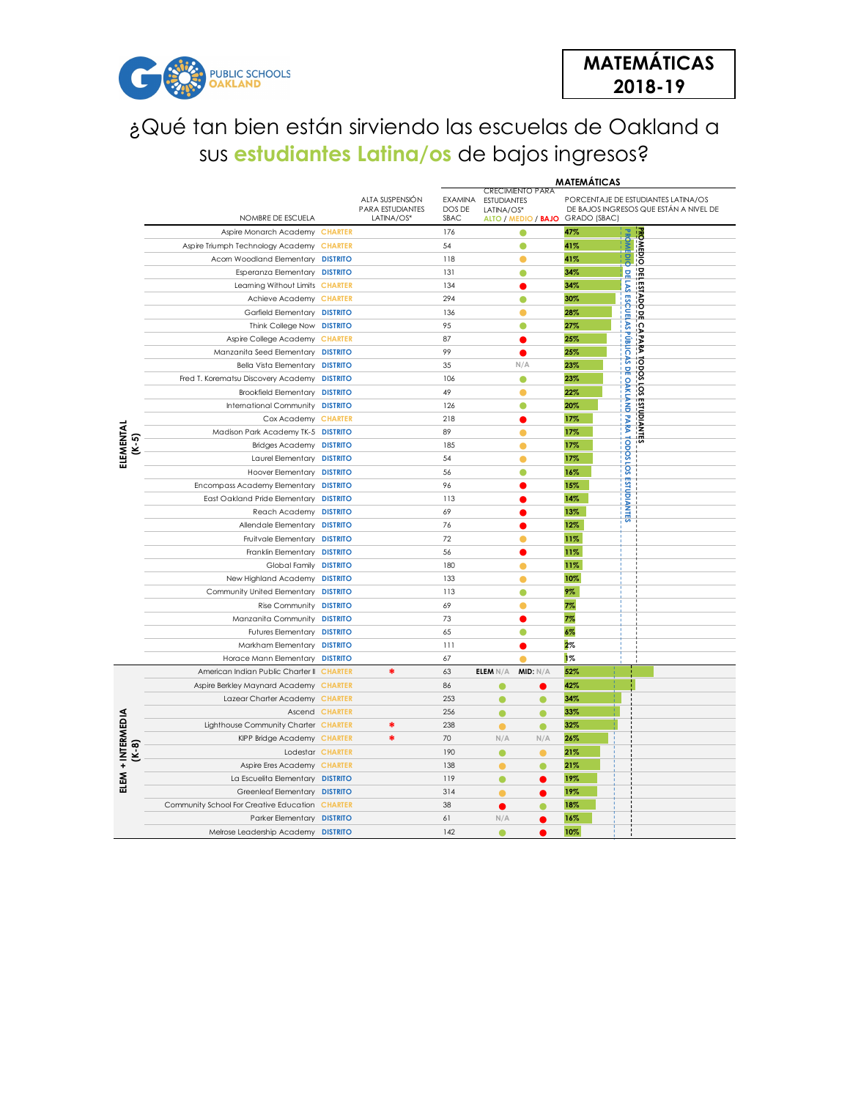

# ¿Qué tan bien están sirviendo las escuelas de Oakland a sus **estudiantes Latina/os** de bajos ingresos?

|                              |                                                 |                                | <b>MATEMÁTICAS</b> |                                                      |                                        |                              |  |  |  |
|------------------------------|-------------------------------------------------|--------------------------------|--------------------|------------------------------------------------------|----------------------------------------|------------------------------|--|--|--|
|                              |                                                 | ALTA SUSPENSIÓN                | EXAMINA            | <b><i>CRECIMIENTO PARA</i></b><br><b>ESTUDIANTES</b> | PORCENTAJE DE ESTUDIANTES LATINA/OS    |                              |  |  |  |
|                              | NOMBRE DE ESCUELA                               | PARA ESTUDIANTES<br>LATINA/OS* | DOS DE<br>SBAC     | LATINA/OS*<br>ALTO / MEDIO / BAJO GRADO (SBAC)       | DE BAJOS INGRESOS QUE ESTÁN A NIVEL DE |                              |  |  |  |
|                              | Aspire Monarch Academy                          | <b>CHARTER</b>                 | 176                | 0                                                    | 47%                                    |                              |  |  |  |
|                              | Aspire Triumph Technology Academy               | <b>CHARTER</b>                 | 54                 | $\bullet$                                            | 41%                                    | <b>PROMEDIO</b><br>PROMEDIO  |  |  |  |
|                              | Acorn Woodland Elementary DISTRITO              |                                | 118                | $\bullet$                                            | 41%                                    |                              |  |  |  |
|                              | Esperanza Elementary                            | <b>DISTRITO</b>                | 131                | $\bullet$                                            | 34%                                    |                              |  |  |  |
|                              | Learning Without Limits                         | <b>CHARTER</b>                 | 134                | О                                                    | 34%                                    | <u>DELESTADO DE</u><br>DELAS |  |  |  |
|                              | Achieve Academy                                 | <b>CHARTER</b>                 | 294                | $\bullet$                                            | 30%                                    |                              |  |  |  |
|                              | Garfield Elementary                             | <b>DISTRITO</b>                | 136                | $\bullet$                                            | 28%                                    |                              |  |  |  |
|                              | Think College Now                               | <b>DISTRITO</b>                | 95                 | $\bullet$                                            | ESCUELASPÚBLIC<br>27%                  |                              |  |  |  |
|                              | Aspire College Academy                          | <b>CHARTER</b>                 | 87                 | ●                                                    | 25%                                    | <b>CAPARA</b>                |  |  |  |
|                              | Manzanita Seed Elementary                       | <b>DISTRITO</b>                | 99                 | О                                                    | 25%                                    |                              |  |  |  |
|                              | <b>Bella Vista Elementary</b>                   | <b>DISTRITO</b>                | 35                 | N/A                                                  | 23%                                    | <b>Lopps</b>                 |  |  |  |
|                              | Fred T. Korematsu Discovery Academy             | <b>DISTRITO</b>                | 106                | $\bullet$                                            | 23%                                    |                              |  |  |  |
|                              | <b>Brookfield Elementary</b>                    | <b>DISTRITO</b>                | 49                 | $\bullet$                                            | <b>AS DE OAKLAND PARA</b><br>22%       | LOS ESTUDIANTES              |  |  |  |
|                              | International Community                         | <b>DISTRITO</b>                | 126                | ●                                                    | 20%                                    |                              |  |  |  |
|                              | Cox Academy                                     | <b>CHARTER</b>                 | 218                | 0                                                    | 17%                                    |                              |  |  |  |
|                              | Madison Park Academy TK-5                       | <b>DISTRITO</b>                | 89                 | $\bullet$                                            | 17%                                    |                              |  |  |  |
| $(\kappa - 5)$               | <b>Bridges Academy</b>                          | <b>DISTRITO</b>                | 185                | $\bullet$                                            | $\frac{1}{9}$<br>17%                   |                              |  |  |  |
| ELEMENTAL                    | Laurel Elementary DISTRITO                      |                                | 54                 | $\bullet$                                            | $\overline{8}$<br>17%                  |                              |  |  |  |
|                              | Hoover Elementary                               | <b>DISTRITO</b>                | 56                 | $\bullet$                                            | ios<br>16%                             |                              |  |  |  |
|                              | Encompass Academy Elementary                    | <b>DISTRITO</b>                | 96                 |                                                      | 15%                                    | ESTUDIANTES                  |  |  |  |
|                              | East Oakland Pride Elementary                   | <b>DISTRITO</b>                | 113                |                                                      | 14%                                    |                              |  |  |  |
|                              | Reach Academy DISTRITO                          |                                | 69                 |                                                      | 13%                                    |                              |  |  |  |
|                              | Allendale Elementary                            | <b>DISTRITO</b>                | 76                 |                                                      | 12%                                    |                              |  |  |  |
|                              | Fruitvale Elementary DISTRITO                   |                                | 72                 | $\bullet$                                            | 11%                                    |                              |  |  |  |
|                              | Franklin Elementary DISTRITO                    |                                | 56                 | c                                                    | 11%                                    |                              |  |  |  |
|                              | Global Family                                   | <b>DISTRITO</b>                | 180                | $\bullet$                                            | 11%                                    |                              |  |  |  |
|                              | New Highland Academy                            | <b>DISTRITO</b>                | 133                | $\bullet$                                            | 10%                                    |                              |  |  |  |
|                              | Community United Elementary                     | <b>DISTRITO</b>                | 113                | $\bullet$                                            | 9%                                     |                              |  |  |  |
|                              | Rise Community <b>DISTRITO</b>                  |                                | 69                 | $\bullet$                                            | 7%                                     |                              |  |  |  |
|                              | Manzanita Community                             | <b>DISTRITO</b>                | 73                 |                                                      | 7%                                     |                              |  |  |  |
|                              | Futures Elementary DISTRITO                     |                                | 65                 | $\bullet$                                            | 6%                                     |                              |  |  |  |
|                              | Markham Elementary                              | <b>DISTRITO</b>                | 111                | Ο                                                    | 2%                                     |                              |  |  |  |
|                              | Horace Mann Elementary                          | <b>DISTRITO</b>                | 67                 | ●                                                    | 1%                                     |                              |  |  |  |
|                              | American Indian Public Charter II               | *<br><b>CHARTER</b>            | 63                 | ELEM N/A<br>MID: N/A                                 | 52%                                    |                              |  |  |  |
|                              | Aspire Berkley Maynard Academy                  | <b>CHARTER</b>                 | 86                 | $\bullet$                                            | 42%                                    |                              |  |  |  |
|                              | Lazear Charter Academy                          | <b>CHARTER</b>                 | 253                | $\bullet$<br>$\bullet$                               | 34%                                    |                              |  |  |  |
|                              | Ascend                                          | <b>CHARTER</b>                 | 256                | $\bullet$<br>$\bullet$                               | 33%                                    |                              |  |  |  |
| ELEM + INTERMEDIA<br>$(K-8)$ | Lighthouse Community Charter                    | ∗<br><b>CHARTER</b>            | 238                | $\bullet$<br>$\bullet$                               | 32%                                    |                              |  |  |  |
|                              | KIPP Bridge Academy                             | ∗<br><b>CHARTER</b>            | 70                 | N/A<br>N/A                                           | 26%                                    |                              |  |  |  |
|                              | Lodestar CHARTER                                |                                | 190                | $\bullet$<br>$\bullet$                               | 21%                                    |                              |  |  |  |
|                              | Aspire Eres Academy CHARTER                     |                                | 138                | $\bullet$<br>$\bullet$                               | 21%                                    |                              |  |  |  |
|                              | La Escuelita Elementary DISTRITO                |                                | 119                | $\bullet$                                            | 19%                                    |                              |  |  |  |
|                              | Greenleaf Elementary DISTRITO                   |                                | 314                | $\bullet$                                            | 19%                                    |                              |  |  |  |
|                              | Community School For Creative Education CHARTER |                                | 38                 |                                                      | 18%                                    |                              |  |  |  |
|                              | Parker Elementary DISTRITO                      |                                | 61                 | N/A                                                  | 16%                                    |                              |  |  |  |
|                              | Melrose Leadership Academy                      | <b>DISTRITO</b>                | 142                | Ô                                                    | 10%                                    |                              |  |  |  |